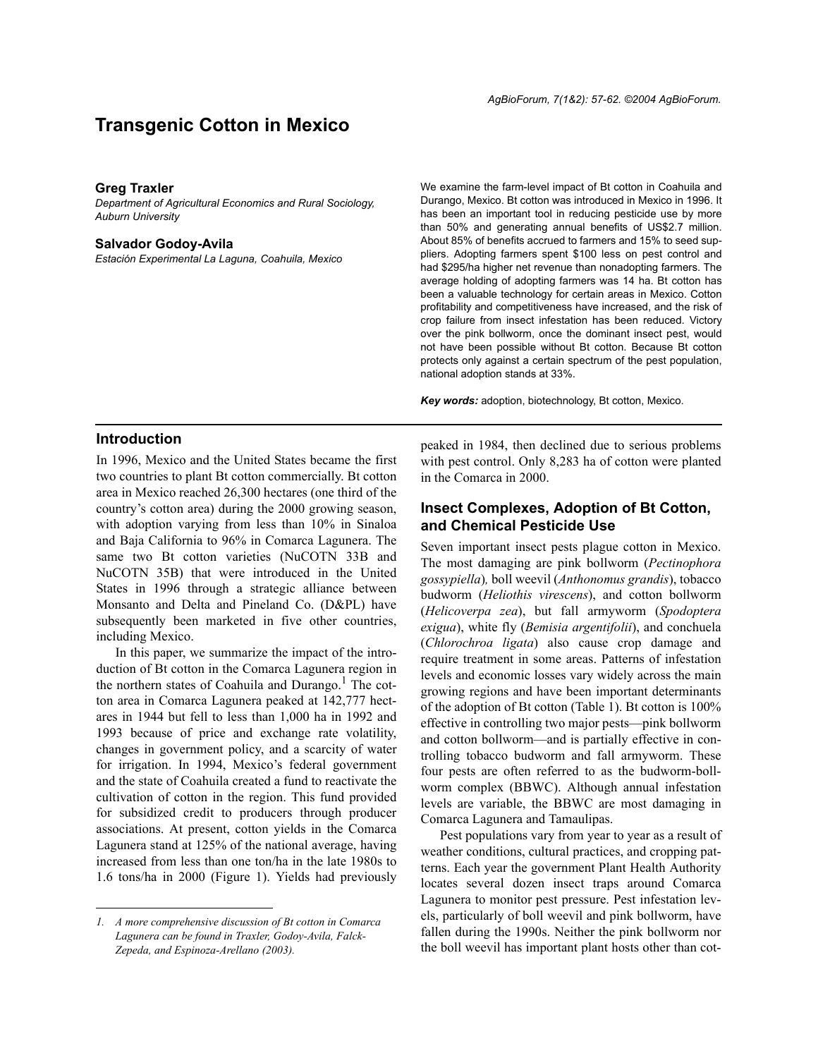# **Transgenic Cotton in Mexico**

#### **Greg Traxler**

*Department of Agricultural Economics and Rural Sociology, Auburn University*

#### **Salvador Godoy-Avila**

*Estación Experimental La Laguna, Coahuila, Mexico*

We examine the farm-level impact of Bt cotton in Coahuila and Durango, Mexico. Bt cotton was introduced in Mexico in 1996. It has been an important tool in reducing pesticide use by more than 50% and generating annual benefits of US\$2.7 million. About 85% of benefits accrued to farmers and 15% to seed suppliers. Adopting farmers spent \$100 less on pest control and had \$295/ha higher net revenue than nonadopting farmers. The average holding of adopting farmers was 14 ha. Bt cotton has been a valuable technology for certain areas in Mexico. Cotton profitability and competitiveness have increased, and the risk of crop failure from insect infestation has been reduced. Victory over the pink bollworm, once the dominant insect pest, would not have been possible without Bt cotton. Because Bt cotton protects only against a certain spectrum of the pest population, national adoption stands at 33%.

*Key words:* adoption, biotechnology, Bt cotton, Mexico.

#### **Introduction**

In 1996, Mexico and the United States became the first two countries to plant Bt cotton commercially. Bt cotton area in Mexico reached 26,300 hectares (one third of the country's cotton area) during the 2000 growing season, with adoption varying from less than 10% in Sinaloa and Baja California to 96% in Comarca Lagunera. The same two Bt cotton varieties (NuCOTN 33B and NuCOTN 35B) that were introduced in the United States in 1996 through a strategic alliance between Monsanto and Delta and Pineland Co. (D&PL) have subsequently been marketed in five other countries, including Mexico.

In this paper, we summarize the impact of the introduction of Bt cotton in the Comarca Lagunera region in the northern states of Coahuila and Durango.<sup>1</sup> The cotton area in Comarca Lagunera peaked at 142,777 hectares in 1944 but fell to less than 1,000 ha in 1992 and 1993 because of price and exchange rate volatility, changes in government policy, and a scarcity of water for irrigation. In 1994, Mexico's federal government and the state of Coahuila created a fund to reactivate the cultivation of cotton in the region. This fund provided for subsidized credit to producers through producer associations. At present, cotton yields in the Comarca Lagunera stand at 125% of the national average, having increased from less than one ton/ha in the late 1980s to 1.6 tons/ha in 2000 (Figure 1). Yields had previously

peaked in 1984, then declined due to serious problems with pest control. Only 8,283 ha of cotton were planted in the Comarca in 2000.

# **Insect Complexes, Adoption of Bt Cotton, and Chemical Pesticide Use**

Seven important insect pests plague cotton in Mexico. The most damaging are pink bollworm (*Pectinophora gossypiella*)*,* boll weevil (*Anthonomus grandis*), tobacco budworm (*Heliothis virescens*), and cotton bollworm (*Helicoverpa zea*), but fall armyworm (*Spodoptera exigua*), white fly (*Bemisia argentifolii*), and conchuela (*Chlorochroa ligata*) also cause crop damage and require treatment in some areas. Patterns of infestation levels and economic losses vary widely across the main growing regions and have been important determinants of the adoption of Bt cotton (Table 1). Bt cotton is 100% effective in controlling two major pests—pink bollworm and cotton bollworm—and is partially effective in controlling tobacco budworm and fall armyworm. These four pests are often referred to as the budworm-bollworm complex (BBWC). Although annual infestation levels are variable, the BBWC are most damaging in Comarca Lagunera and Tamaulipas.

Pest populations vary from year to year as a result of weather conditions, cultural practices, and cropping patterns. Each year the government Plant Health Authority locates several dozen insect traps around Comarca Lagunera to monitor pest pressure. Pest infestation levels, particularly of boll weevil and pink bollworm, have fallen during the 1990s. Neither the pink bollworm nor the boll weevil has important plant hosts other than cot-

*<sup>1.</sup> A more comprehensive discussion of Bt cotton in Comarca Lagunera can be found in Traxler, Godoy-Avila, Falck-Zepeda, and Espinoza-Arellano (2003).*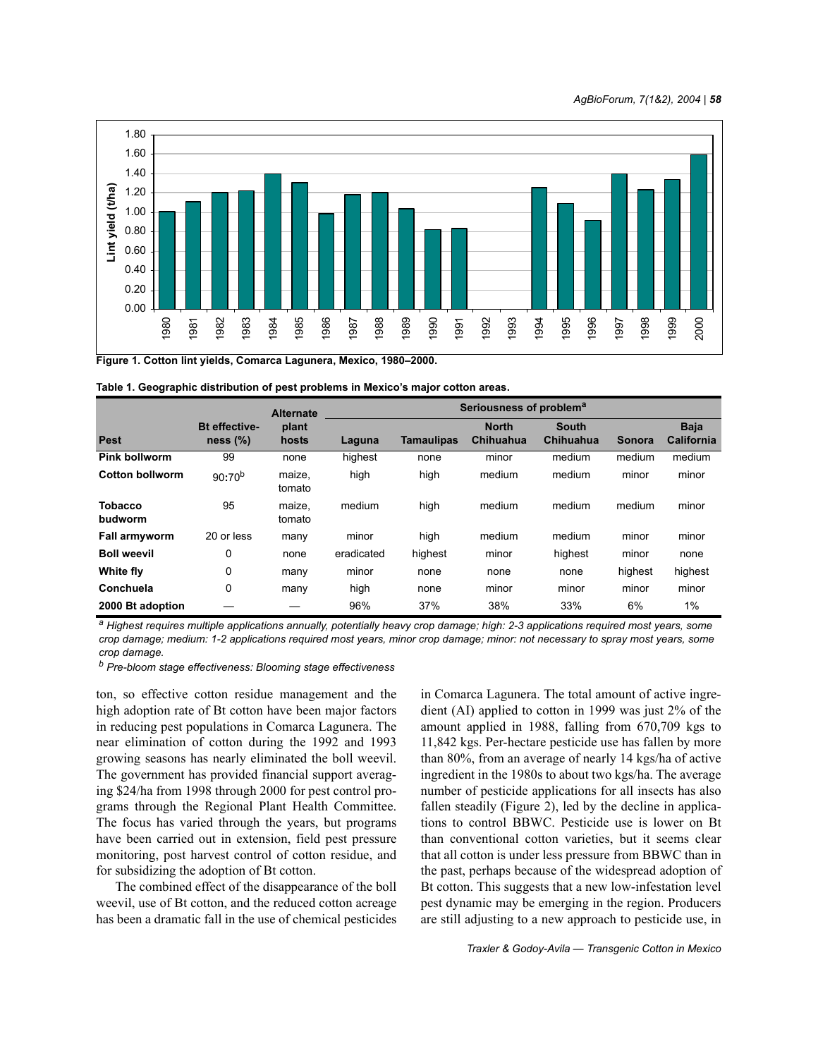

**Figure 1. Cotton lint yields, Comarca Lagunera, Mexico, 1980–2000.**

| Table 1. Geographic distribution of pest problems in Mexico's major cotton areas. |  |  |  |  |
|-----------------------------------------------------------------------------------|--|--|--|--|
|-----------------------------------------------------------------------------------|--|--|--|--|

|                           |                                     | <b>Alternate</b> | Seriousness of problem <sup>a</sup> |                   |                           |                           |         |                           |
|---------------------------|-------------------------------------|------------------|-------------------------------------|-------------------|---------------------------|---------------------------|---------|---------------------------|
| <b>Pest</b>               | <b>Bt</b> effective-<br>ness $(\%)$ | plant<br>hosts   | Laguna                              | <b>Tamaulipas</b> | <b>North</b><br>Chihuahua | <b>South</b><br>Chihuahua | Sonora  | <b>Baja</b><br>California |
| <b>Pink bollworm</b>      | 99                                  | none             | highest                             | none              | minor                     | medium                    | medium  | medium                    |
| <b>Cotton bollworm</b>    | $90:70^{b}$                         | maize,<br>tomato | high                                | high              | medium                    | medium                    | minor   | minor                     |
| <b>Tobacco</b><br>budworm | 95                                  | maize.<br>tomato | medium                              | high              | medium                    | medium                    | medium  | minor                     |
| <b>Fall armyworm</b>      | 20 or less                          | many             | minor                               | high              | medium                    | medium                    | minor   | minor                     |
| <b>Boll weevil</b>        | 0                                   | none             | eradicated                          | highest           | minor                     | highest                   | minor   | none                      |
| White fly                 | 0                                   | many             | minor                               | none              | none                      | none                      | highest | highest                   |
| Conchuela                 | $\Omega$                            | many             | high                                | none              | minor                     | minor                     | minor   | minor                     |
| 2000 Bt adoption          |                                     |                  | 96%                                 | 37%               | 38%                       | 33%                       | 6%      | 1%                        |

*a Highest requires multiple applications annually, potentially heavy crop damage; high: 2-3 applications required most years, some crop damage; medium: 1-2 applications required most years, minor crop damage; minor: not necessary to spray most years, some crop damage.*

*b Pre-bloom stage effectiveness: Blooming stage effectiveness*

ton, so effective cotton residue management and the high adoption rate of Bt cotton have been major factors in reducing pest populations in Comarca Lagunera. The near elimination of cotton during the 1992 and 1993 growing seasons has nearly eliminated the boll weevil. The government has provided financial support averaging \$24/ha from 1998 through 2000 for pest control programs through the Regional Plant Health Committee. The focus has varied through the years, but programs have been carried out in extension, field pest pressure monitoring, post harvest control of cotton residue, and for subsidizing the adoption of Bt cotton.

The combined effect of the disappearance of the boll weevil, use of Bt cotton, and the reduced cotton acreage has been a dramatic fall in the use of chemical pesticides in Comarca Lagunera. The total amount of active ingredient (AI) applied to cotton in 1999 was just 2% of the amount applied in 1988, falling from 670,709 kgs to 11,842 kgs. Per-hectare pesticide use has fallen by more than 80%, from an average of nearly 14 kgs/ha of active ingredient in the 1980s to about two kgs/ha. The average number of pesticide applications for all insects has also fallen steadily (Figure 2), led by the decline in applications to control BBWC. Pesticide use is lower on Bt than conventional cotton varieties, but it seems clear that all cotton is under less pressure from BBWC than in the past, perhaps because of the widespread adoption of Bt cotton. This suggests that a new low-infestation level pest dynamic may be emerging in the region. Producers are still adjusting to a new approach to pesticide use, in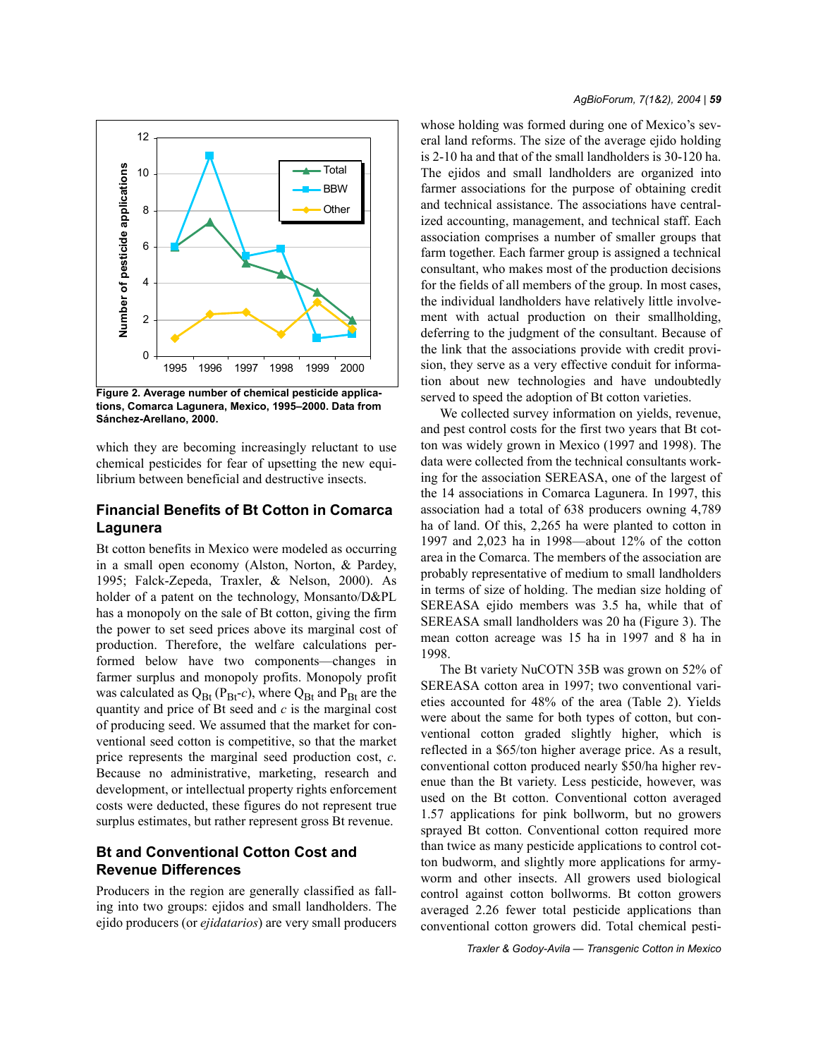

**Figure 2. Average number of chemical pesticide applications, Comarca Lagunera, Mexico, 1995–2000. Data from Sánchez-Arellano, 2000.**

which they are becoming increasingly reluctant to use chemical pesticides for fear of upsetting the new equilibrium between beneficial and destructive insects.

## **Financial Benefits of Bt Cotton in Comarca Lagunera**

Bt cotton benefits in Mexico were modeled as occurring in a small open economy (Alston, Norton, & Pardey, 1995; Falck-Zepeda, Traxler, & Nelson, 2000). As holder of a patent on the technology, Monsanto/D&PL has a monopoly on the sale of Bt cotton, giving the firm the power to set seed prices above its marginal cost of production. Therefore, the welfare calculations performed below have two components—changes in farmer surplus and monopoly profits. Monopoly profit was calculated as  $Q_{Bt}$  ( $P_{Bt}$ -*c*), where  $Q_{Bt}$  and  $P_{Bt}$  are the quantity and price of Bt seed and *c* is the marginal cost of producing seed. We assumed that the market for conventional seed cotton is competitive, so that the market price represents the marginal seed production cost, *c*. Because no administrative, marketing, research and development, or intellectual property rights enforcement costs were deducted, these figures do not represent true surplus estimates, but rather represent gross Bt revenue.

### **Bt and Conventional Cotton Cost and Revenue Differences**

Producers in the region are generally classified as falling into two groups: ejidos and small landholders. The ejido producers (or *ejidatarios*) are very small producers whose holding was formed during one of Mexico's several land reforms. The size of the average ejido holding is 2-10 ha and that of the small landholders is 30-120 ha. The ejidos and small landholders are organized into farmer associations for the purpose of obtaining credit and technical assistance. The associations have centralized accounting, management, and technical staff. Each association comprises a number of smaller groups that farm together. Each farmer group is assigned a technical consultant, who makes most of the production decisions for the fields of all members of the group. In most cases, the individual landholders have relatively little involvement with actual production on their smallholding, deferring to the judgment of the consultant. Because of the link that the associations provide with credit provision, they serve as a very effective conduit for information about new technologies and have undoubtedly served to speed the adoption of Bt cotton varieties.

We collected survey information on yields, revenue, and pest control costs for the first two years that Bt cotton was widely grown in Mexico (1997 and 1998). The data were collected from the technical consultants working for the association SEREASA, one of the largest of the 14 associations in Comarca Lagunera. In 1997, this association had a total of 638 producers owning 4,789 ha of land. Of this, 2,265 ha were planted to cotton in 1997 and 2,023 ha in 1998—about 12% of the cotton area in the Comarca. The members of the association are probably representative of medium to small landholders in terms of size of holding. The median size holding of SEREASA ejido members was 3.5 ha, while that of SEREASA small landholders was 20 ha (Figure 3). The mean cotton acreage was 15 ha in 1997 and 8 ha in 1998.

The Bt variety NuCOTN 35B was grown on 52% of SEREASA cotton area in 1997; two conventional varieties accounted for 48% of the area (Table 2). Yields were about the same for both types of cotton, but conventional cotton graded slightly higher, which is reflected in a \$65/ton higher average price. As a result, conventional cotton produced nearly \$50/ha higher revenue than the Bt variety. Less pesticide, however, was used on the Bt cotton. Conventional cotton averaged 1.57 applications for pink bollworm, but no growers sprayed Bt cotton. Conventional cotton required more than twice as many pesticide applications to control cotton budworm, and slightly more applications for armyworm and other insects. All growers used biological control against cotton bollworms. Bt cotton growers averaged 2.26 fewer total pesticide applications than conventional cotton growers did. Total chemical pesti-

*Traxler & Godoy-Avila — Transgenic Cotton in Mexico*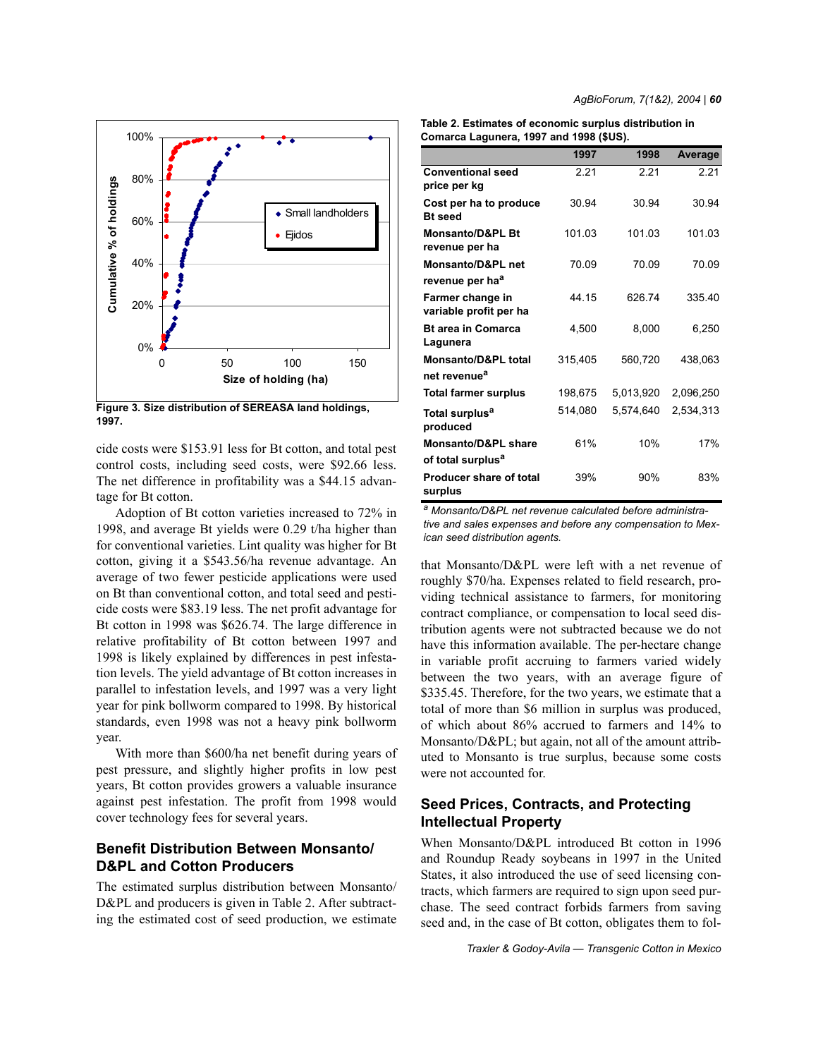

**Figure 3. Size distribution of SEREASA land holdings, 1997.**

cide costs were \$153.91 less for Bt cotton, and total pest control costs, including seed costs, were \$92.66 less. The net difference in profitability was a \$44.15 advantage for Bt cotton.

Adoption of Bt cotton varieties increased to 72% in 1998, and average Bt yields were 0.29 t/ha higher than for conventional varieties. Lint quality was higher for Bt cotton, giving it a \$543.56/ha revenue advantage. An average of two fewer pesticide applications were used on Bt than conventional cotton, and total seed and pesticide costs were \$83.19 less. The net profit advantage for Bt cotton in 1998 was \$626.74. The large difference in relative profitability of Bt cotton between 1997 and 1998 is likely explained by differences in pest infestation levels. The yield advantage of Bt cotton increases in parallel to infestation levels, and 1997 was a very light year for pink bollworm compared to 1998. By historical standards, even 1998 was not a heavy pink bollworm year.

With more than \$600/ha net benefit during years of pest pressure, and slightly higher profits in low pest years, Bt cotton provides growers a valuable insurance against pest infestation. The profit from 1998 would cover technology fees for several years.

### **Benefit Distribution Between Monsanto/ D&PL and Cotton Producers**

The estimated surplus distribution between Monsanto/ D&PL and producers is given in Table 2. After subtracting the estimated cost of seed production, we estimate

| AgBioForum, 7(1&2), 2004   60 |  |  |  |
|-------------------------------|--|--|--|
|-------------------------------|--|--|--|

| Table 2. Estimates of economic surplus distribution in |  |
|--------------------------------------------------------|--|
| Comarca Lagunera, 1997 and 1998 (\$US).                |  |

|                                                                 | 1997    | 1998      | <b>Average</b> |
|-----------------------------------------------------------------|---------|-----------|----------------|
| <b>Conventional seed</b><br>price per kg                        | 2.21    | 2.21      | 2.21           |
| Cost per ha to produce<br><b>Bt</b> seed                        | 30 94   | 30.94     | 30.94          |
| <b>Monsanto/D&amp;PL Bt</b><br>revenue per ha                   | 101.03  | 101.03    | 101.03         |
| <b>Monsanto/D&amp;PL net</b>                                    | 70.09   | 70.09     | 70.09          |
| revenue per ha <sup>a</sup>                                     |         |           |                |
| Farmer change in<br>variable profit per ha                      | 44 15   | 62674     | 335.40         |
| <b>Bt area in Comarca</b><br>Lagunera                           | 4,500   | 8.000     | 6,250          |
| <b>Monsanto/D&amp;PL total</b><br>net revenue <sup>a</sup>      | 315,405 | 560,720   | 438,063        |
| <b>Total farmer surplus</b>                                     | 198,675 | 5,013,920 | 2,096,250      |
| Total surplus <sup>a</sup><br>produced                          | 514,080 | 5,574,640 | 2,534,313      |
| <b>Monsanto/D&amp;PL share</b><br>of total surplus <sup>a</sup> | 61%     | 10%       | 17%            |
| <b>Producer share of total</b><br>surplus                       | 39%     | 90%       | 83%            |

*a Monsanto/D&PL net revenue calculated before administrative and sales expenses and before any compensation to Mexican seed distribution agents.*

that Monsanto/D&PL were left with a net revenue of roughly \$70/ha. Expenses related to field research, providing technical assistance to farmers, for monitoring contract compliance, or compensation to local seed distribution agents were not subtracted because we do not have this information available. The per-hectare change in variable profit accruing to farmers varied widely between the two years, with an average figure of \$335.45. Therefore, for the two years, we estimate that a total of more than \$6 million in surplus was produced, of which about 86% accrued to farmers and 14% to Monsanto/D&PL; but again, not all of the amount attributed to Monsanto is true surplus, because some costs were not accounted for.

## **Seed Prices, Contracts, and Protecting Intellectual Property**

When Monsanto/D&PL introduced Bt cotton in 1996 and Roundup Ready soybeans in 1997 in the United States, it also introduced the use of seed licensing contracts, which farmers are required to sign upon seed purchase. The seed contract forbids farmers from saving seed and, in the case of Bt cotton, obligates them to fol-

*Traxler & Godoy-Avila — Transgenic Cotton in Mexico*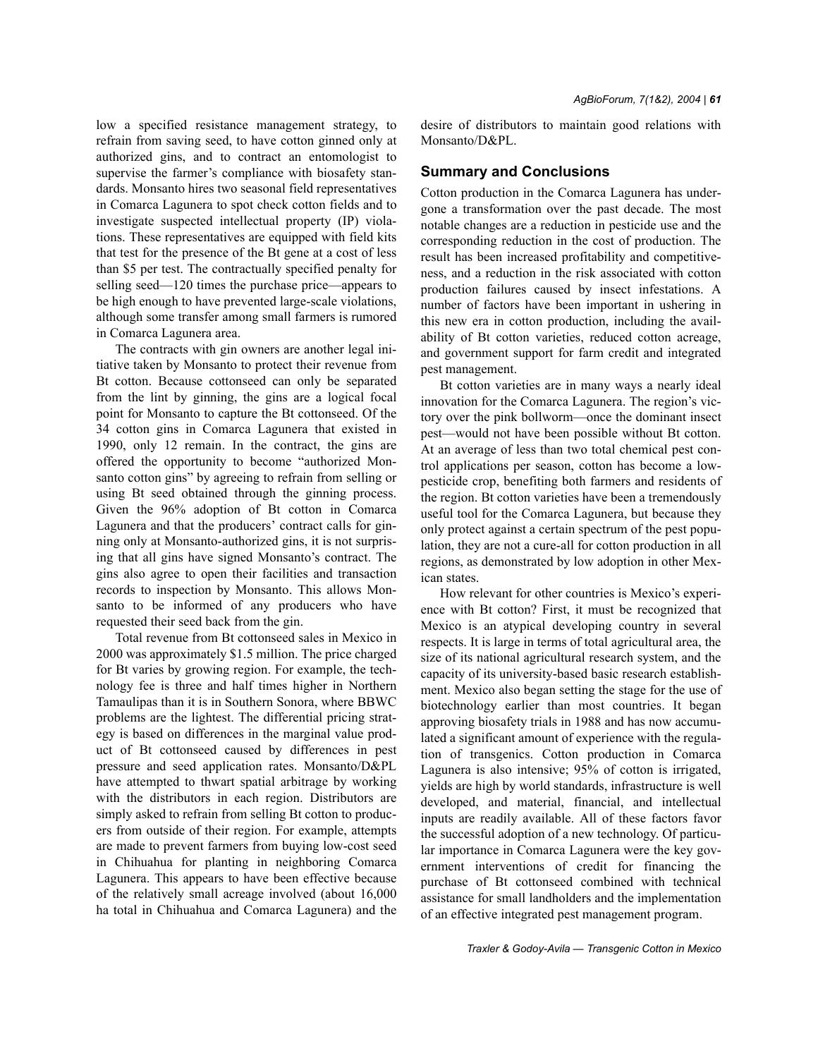low a specified resistance management strategy, to refrain from saving seed, to have cotton ginned only at authorized gins, and to contract an entomologist to supervise the farmer's compliance with biosafety standards. Monsanto hires two seasonal field representatives in Comarca Lagunera to spot check cotton fields and to investigate suspected intellectual property (IP) violations. These representatives are equipped with field kits that test for the presence of the Bt gene at a cost of less than \$5 per test. The contractually specified penalty for selling seed—120 times the purchase price—appears to be high enough to have prevented large-scale violations, although some transfer among small farmers is rumored in Comarca Lagunera area.

The contracts with gin owners are another legal initiative taken by Monsanto to protect their revenue from Bt cotton. Because cottonseed can only be separated from the lint by ginning, the gins are a logical focal point for Monsanto to capture the Bt cottonseed. Of the 34 cotton gins in Comarca Lagunera that existed in 1990, only 12 remain. In the contract, the gins are offered the opportunity to become "authorized Monsanto cotton gins" by agreeing to refrain from selling or using Bt seed obtained through the ginning process. Given the 96% adoption of Bt cotton in Comarca Lagunera and that the producers' contract calls for ginning only at Monsanto-authorized gins, it is not surprising that all gins have signed Monsanto's contract. The gins also agree to open their facilities and transaction records to inspection by Monsanto. This allows Monsanto to be informed of any producers who have requested their seed back from the gin.

Total revenue from Bt cottonseed sales in Mexico in 2000 was approximately \$1.5 million. The price charged for Bt varies by growing region. For example, the technology fee is three and half times higher in Northern Tamaulipas than it is in Southern Sonora, where BBWC problems are the lightest. The differential pricing strategy is based on differences in the marginal value product of Bt cottonseed caused by differences in pest pressure and seed application rates. Monsanto/D&PL have attempted to thwart spatial arbitrage by working with the distributors in each region. Distributors are simply asked to refrain from selling Bt cotton to producers from outside of their region. For example, attempts are made to prevent farmers from buying low-cost seed in Chihuahua for planting in neighboring Comarca Lagunera. This appears to have been effective because of the relatively small acreage involved (about 16,000 ha total in Chihuahua and Comarca Lagunera) and the desire of distributors to maintain good relations with Monsanto/D&PL.

#### **Summary and Conclusions**

Cotton production in the Comarca Lagunera has undergone a transformation over the past decade. The most notable changes are a reduction in pesticide use and the corresponding reduction in the cost of production. The result has been increased profitability and competitiveness, and a reduction in the risk associated with cotton production failures caused by insect infestations. A number of factors have been important in ushering in this new era in cotton production, including the availability of Bt cotton varieties, reduced cotton acreage, and government support for farm credit and integrated pest management.

Bt cotton varieties are in many ways a nearly ideal innovation for the Comarca Lagunera. The region's victory over the pink bollworm—once the dominant insect pest—would not have been possible without Bt cotton. At an average of less than two total chemical pest control applications per season, cotton has become a lowpesticide crop, benefiting both farmers and residents of the region. Bt cotton varieties have been a tremendously useful tool for the Comarca Lagunera, but because they only protect against a certain spectrum of the pest population, they are not a cure-all for cotton production in all regions, as demonstrated by low adoption in other Mexican states.

How relevant for other countries is Mexico's experience with Bt cotton? First, it must be recognized that Mexico is an atypical developing country in several respects. It is large in terms of total agricultural area, the size of its national agricultural research system, and the capacity of its university-based basic research establishment. Mexico also began setting the stage for the use of biotechnology earlier than most countries. It began approving biosafety trials in 1988 and has now accumulated a significant amount of experience with the regulation of transgenics. Cotton production in Comarca Lagunera is also intensive; 95% of cotton is irrigated, yields are high by world standards, infrastructure is well developed, and material, financial, and intellectual inputs are readily available. All of these factors favor the successful adoption of a new technology. Of particular importance in Comarca Lagunera were the key government interventions of credit for financing the purchase of Bt cottonseed combined with technical assistance for small landholders and the implementation of an effective integrated pest management program.